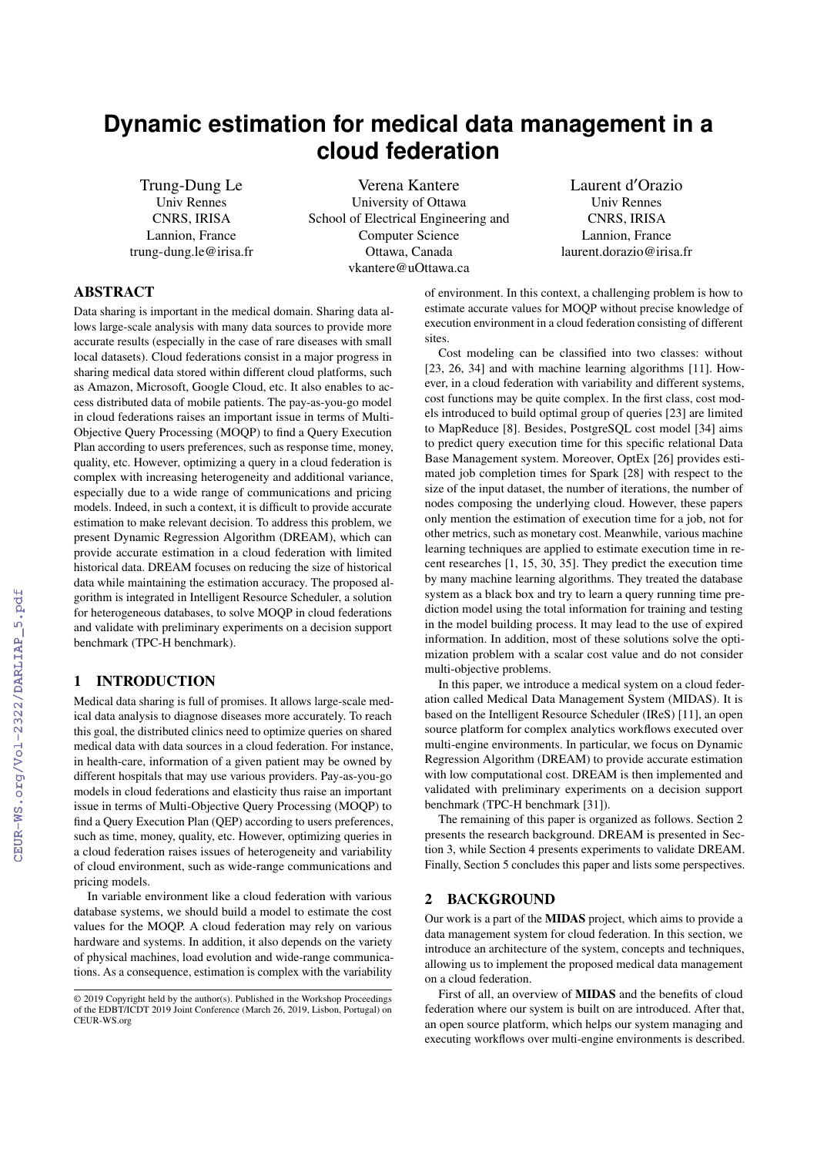# **Dynamic estimation for medical data management in a cloud federation**

Trung-Dung Le Univ Rennes CNRS, IRISA Lannion, France trung-dung.le@irisa.fr

Verena Kantere University of Ottawa School of Electrical Engineering and Computer Science Ottawa, Canada vkantere@uOttawa.ca

Laurent d′Orazio Univ Rennes CNRS, IRISA Lannion, France laurent.dorazio@irisa.fr

# ABSTRACT

Data sharing is important in the medical domain. Sharing data allows large-scale analysis with many data sources to provide more accurate results (especially in the case of rare diseases with small local datasets). Cloud federations consist in a major progress in sharing medical data stored within different cloud platforms, such as Amazon, Microsoft, Google Cloud, etc. It also enables to access distributed data of mobile patients. The pay-as-you-go model in cloud federations raises an important issue in terms of Multi-Objective Query Processing (MOQP) to find a Query Execution Plan according to users preferences, such as response time, money, quality, etc. However, optimizing a query in a cloud federation is complex with increasing heterogeneity and additional variance, especially due to a wide range of communications and pricing models. Indeed, in such a context, it is difficult to provide accurate estimation to make relevant decision. To address this problem, we present Dynamic Regression Algorithm (DREAM), which can provide accurate estimation in a cloud federation with limited historical data. DREAM focuses on reducing the size of historical data while maintaining the estimation accuracy. The proposed algorithm is integrated in Intelligent Resource Scheduler, a solution for heterogeneous databases, to solve MOQP in cloud federations and validate with preliminary experiments on a decision support benchmark (TPC-H benchmark).

# 1 INTRODUCTION

Medical data sharing is full of promises. It allows large-scale medical data analysis to diagnose diseases more accurately. To reach this goal, the distributed clinics need to optimize queries on shared medical data with data sources in a cloud federation. For instance, in health-care, information of a given patient may be owned by different hospitals that may use various providers. Pay-as-you-go models in cloud federations and elasticity thus raise an important issue in terms of Multi-Objective Query Processing (MOQP) to find a Query Execution Plan (QEP) according to users preferences, such as time, money, quality, etc. However, optimizing queries in a cloud federation raises issues of heterogeneity and variability of cloud environment, such as wide-range communications and pricing models.

In variable environment like a cloud federation with various database systems, we should build a model to estimate the cost values for the MOQP. A cloud federation may rely on various hardware and systems. In addition, it also depends on the variety of physical machines, load evolution and wide-range communications. As a consequence, estimation is complex with the variability

of environment. In this context, a challenging problem is how to estimate accurate values for MOQP without precise knowledge of execution environment in a cloud federation consisting of different sites.

Cost modeling can be classified into two classes: without [\[23,](#page--1-0) [26,](#page--1-1) [34\]](#page--1-2) and with machine learning algorithms [\[11\]](#page--1-3). However, in a cloud federation with variability and different systems, cost functions may be quite complex. In the first class, cost models introduced to build optimal group of queries [\[23\]](#page--1-0) are limited to MapReduce [\[8\]](#page--1-4). Besides, PostgreSQL cost model [\[34\]](#page--1-2) aims to predict query execution time for this specific relational Data Base Management system. Moreover, OptEx [\[26\]](#page--1-1) provides estimated job completion times for Spark [\[28\]](#page--1-5) with respect to the size of the input dataset, the number of iterations, the number of nodes composing the underlying cloud. However, these papers only mention the estimation of execution time for a job, not for other metrics, such as monetary cost. Meanwhile, various machine learning techniques are applied to estimate execution time in recent researches [\[1,](#page--1-6) [15,](#page--1-7) [30,](#page--1-8) [35\]](#page--1-9). They predict the execution time by many machine learning algorithms. They treated the database system as a black box and try to learn a query running time prediction model using the total information for training and testing in the model building process. It may lead to the use of expired information. In addition, most of these solutions solve the optimization problem with a scalar cost value and do not consider multi-objective problems.

In this paper, we introduce a medical system on a cloud federation called Medical Data Management System (MIDAS). It is based on the Intelligent Resource Scheduler (IReS) [\[11\]](#page--1-3), an open source platform for complex analytics workflows executed over multi-engine environments. In particular, we focus on Dynamic Regression Algorithm (DREAM) to provide accurate estimation with low computational cost. DREAM is then implemented and validated with preliminary experiments on a decision support benchmark (TPC-H benchmark [\[31\]](#page--1-10)).

The remaining of this paper is organized as follows. Section [2](#page-0-0) presents the research background. DREAM is presented in Section [3,](#page--1-11) while Section [4](#page--1-12) presents experiments to validate DREAM. Finally, Section [5](#page--1-13) concludes this paper and lists some perspectives.

## <span id="page-0-0"></span>2 BACKGROUND

Our work is a part of the MIDAS project, which aims to provide a data management system for cloud federation. In this section, we introduce an architecture of the system, concepts and techniques, allowing us to implement the proposed medical data management on a cloud federation.

First of all, an overview of **MIDAS** and the benefits of cloud federation where our system is built on are introduced. After that, an open source platform, which helps our system managing and executing workflows over multi-engine environments is described.

<sup>©</sup> 2019 Copyright held by the author(s). Published in the Workshop Proceedings of the EDBT/ICDT 2019 Joint Conference (March 26, 2019, Lisbon, Portugal) on CEUR-WS.org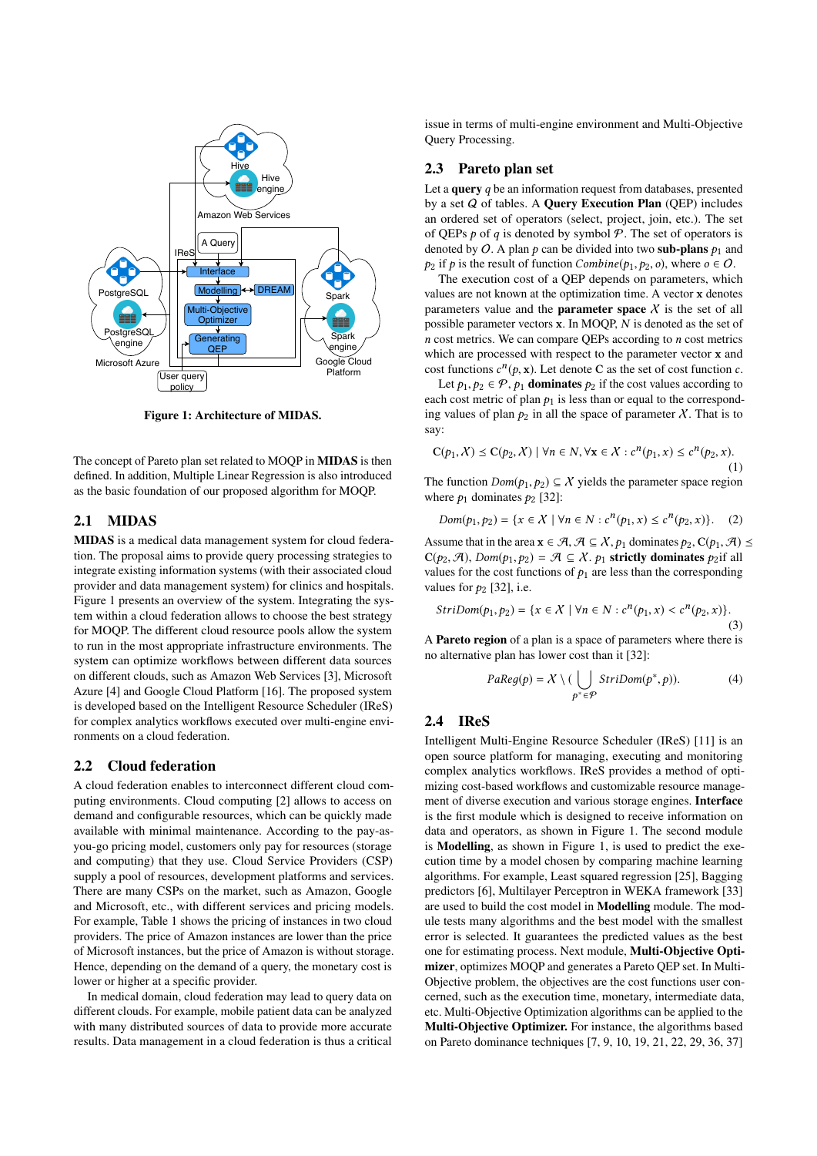<span id="page-1-0"></span>

Figure 1: Architecture of MIDAS.

The concept of Pareto plan set related to MOQP in MIDAS is then defined. In addition, Multiple Linear Regression is also introduced as the basic foundation of our proposed algorithm for MOQP.

# 2.1 MIDAS

MIDAS is a medical data management system for cloud federation. The proposal aims to provide query processing strategies to integrate existing information systems (with their associated cloud provider and data management system) for clinics and hospitals. Figure [1](#page-1-0) presents an overview of the system. Integrating the system within a cloud federation allows to choose the best strategy for MOQP. The different cloud resource pools allow the system to run in the most appropriate infrastructure environments. The system can optimize workflows between different data sources on different clouds, such as Amazon Web Services [\[3\]](#page-5-0), Microsoft Azure [\[4\]](#page-5-1) and Google Cloud Platform [\[16\]](#page-5-2). The proposed system is developed based on the Intelligent Resource Scheduler (IReS) for complex analytics workflows executed over multi-engine environments on a cloud federation.

#### 2.2 Cloud federation

A cloud federation enables to interconnect different cloud computing environments. Cloud computing [\[2\]](#page-5-3) allows to access on demand and configurable resources, which can be quickly made available with minimal maintenance. According to the pay-asyou-go pricing model, customers only pay for resources (storage and computing) that they use. Cloud Service Providers (CSP) supply a pool of resources, development platforms and services. There are many CSPs on the market, such as Amazon, Google and Microsoft, etc., with different services and pricing models. For example, Table [1](#page-2-0) shows the pricing of instances in two cloud providers. The price of Amazon instances are lower than the price of Microsoft instances, but the price of Amazon is without storage. Hence, depending on the demand of a query, the monetary cost is lower or higher at a specific provider.

In medical domain, cloud federation may lead to query data on different clouds. For example, mobile patient data can be analyzed with many distributed sources of data to provide more accurate results. Data management in a cloud federation is thus a critical issue in terms of multi-engine environment and Multi-Objective Query Processing.

#### 2.3 Pareto plan set

Let a query  $q$  be an information request from databases, presented by a set  $Q$  of tables. A Query Execution Plan (QEP) includes an ordered set of operators (select, project, join, etc.). The set of QEPs  $p$  of q is denoted by symbol  $P$ . The set of operators is denoted by O. A plan p can be divided into two sub-plans  $p_1$  and  $p_2$  if p is the result of function Combine( $p_1, p_2, o$ ), where  $o \in O$ .

The execution cost of a QEP depends on parameters, which values are not known at the optimization time. A vector x denotes parameters value and the **parameter space**  $X$  is the set of all possible parameter vectors <sup>x</sup>. In MOQP, N is denoted as the set of  $n$  cost metrics. We can compare QEPs according to  $n$  cost metrics which are processed with respect to the parameter vector x and cost functions  $c^n(p, x)$ . Let denote C as the set of cost function c.<br>Let  $p_1, p_2 \in \mathcal{P}$ , by **dominates**  $p_2$  if the cost values according to

Let  $p_1, p_2 \in \mathcal{P}$ ,  $p_1$  dominates  $p_2$  if the cost values according to each cost metric of plan  $p_1$  is less than or equal to the corresponding values of plan  $p_2$  in all the space of parameter X. That is to say:

$$
\mathcal{C}(p_1, \mathcal{X}) \leq \mathcal{C}(p_2, \mathcal{X}) \mid \forall n \in \mathbb{N}, \forall \mathbf{x} \in \mathcal{X} : c^n(p_1, x) \leq c^n(p_2, x). \tag{1}
$$

The function  $Dom(p_1, p_2) \subseteq X$  yields the parameter space region where  $p_1$  dominates  $p_2$  [\[32\]](#page-5-4):

$$
Dom(p_1, p_2) = \{x \in \mathcal{X} \mid \forall n \in \mathbb{N} : c^n(p_1, x) \le c^n(p_2, x)\}.
$$
 (2)

Assume that in the area  $\mathbf{x} \in \mathcal{A}, \mathcal{A} \subseteq \mathcal{X}, p_1$  dominates  $p_2, C(p_1, \mathcal{A}) \leq$  $C(p_2, \mathcal{A})$ ,  $Dom(p_1, p_2) = \mathcal{A} \subseteq \mathcal{X}$ .  $p_1$  strictly dominates  $p_2$ if all values for the cost functions of  $p_1$  are less than the corresponding values for  $p_2$  [\[32\]](#page-5-4), i.e.

$$
StriDom(p_1, p_2) = \{x \in X \mid \forall n \in N : c^n(p_1, x) < c^n(p_2, x)\}.
$$
\n(3)

A Pareto region of a plan is a space of parameters where there is no alternative plan has lower cost than it [\[32\]](#page-5-4):

$$
PaReg(p) = X \setminus (\bigcup_{p^* \in \mathcal{P}} StriDom(p^*, p)). \tag{4}
$$

# 2.4 IReS

Intelligent Multi-Engine Resource Scheduler (IReS) [\[11\]](#page-5-5) is an open source platform for managing, executing and monitoring complex analytics workflows. IReS provides a method of optimizing cost-based workflows and customizable resource management of diverse execution and various storage engines. Interface is the first module which is designed to receive information on data and operators, as shown in Figure [1.](#page-1-0) The second module is Modelling, as shown in Figure [1,](#page-1-0) is used to predict the execution time by a model chosen by comparing machine learning algorithms. For example, Least squared regression [\[25\]](#page-5-6), Bagging predictors [\[6\]](#page-5-7), Multilayer Perceptron in WEKA framework [\[33\]](#page-5-8) are used to build the cost model in Modelling module. The module tests many algorithms and the best model with the smallest error is selected. It guarantees the predicted values as the best one for estimating process. Next module, Multi-Objective Optimizer, optimizes MOQP and generates a Pareto QEP set. In Multi-Objective problem, the objectives are the cost functions user concerned, such as the execution time, monetary, intermediate data, etc. Multi-Objective Optimization algorithms can be applied to the Multi-Objective Optimizer. For instance, the algorithms based on Pareto dominance techniques [\[7,](#page-5-9) [9,](#page-5-10) [10,](#page-5-11) [19,](#page-5-12) [21,](#page-5-13) [22,](#page-5-14) [29,](#page-5-15) [36,](#page-5-16) [37\]](#page-5-17)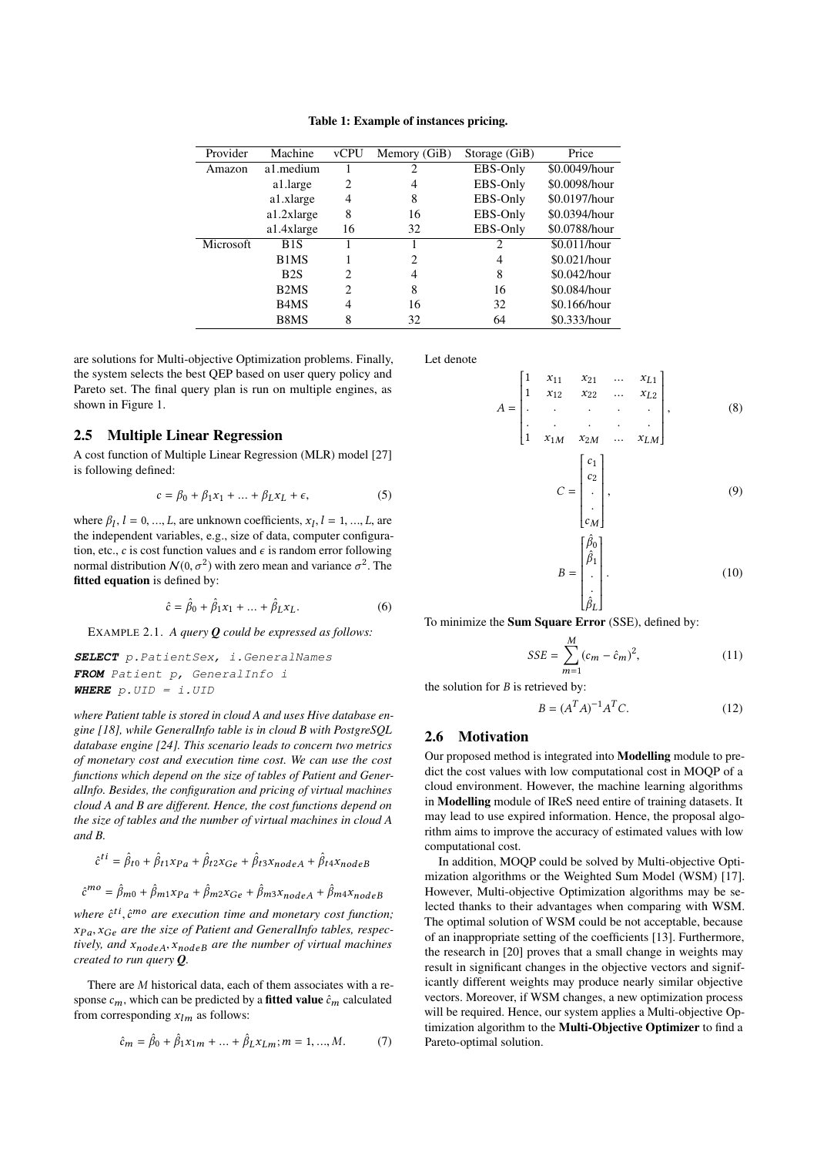Table 1: Example of instances pricing.

<span id="page-2-0"></span>

| Provider         | Machine                       | <b>vCPU</b>                 | Memory (GiB) | Storage (GiB) | Price         |
|------------------|-------------------------------|-----------------------------|--------------|---------------|---------------|
| Amazon           | a1.medium                     |                             |              | EBS-Only      | \$0.0049/hour |
|                  | a1.large                      | 2                           | 4            | EBS-Only      | \$0.0098/hour |
|                  | a1.xlarge                     | 4                           | 8            | EBS-Only      | \$0.0197/hour |
|                  | a1.2xlarge                    | 8                           | 16           | EBS-Only      | \$0.0394/hour |
|                  | a1.4xlarge                    | 16                          | 32           | EBS-Only      | \$0.0788/hour |
| <b>Microsoft</b> | B1S                           |                             |              | 2             | \$0.011/hour  |
|                  | B1MS                          |                             | 2            | 4             | \$0.021/hour  |
|                  | B <sub>2</sub> S              | $\mathcal{D}_{\mathcal{L}}$ | 4            | 8             | \$0.042/hour  |
|                  | B <sub>2</sub> M <sub>S</sub> | $\overline{c}$              | 8            | 16            | \$0.084/hour  |
|                  | B <sub>4</sub> M <sub>S</sub> | 4                           | 16           | 32            | \$0.166/hour  |
|                  | B <sub>8</sub> M <sub>S</sub> | 8                           | 32           | 64            | \$0.333/hour  |
|                  |                               |                             |              |               |               |

are solutions for Multi-objective Optimization problems. Finally, the system selects the best QEP based on user query policy and Pareto set. The final query plan is run on multiple engines, as shown in Figure [1.](#page-1-0)

# <span id="page-2-1"></span>2.5 Multiple Linear Regression

A cost function of Multiple Linear Regression (MLR) model [\[27\]](#page-5-18) is following defined:

<span id="page-2-2"></span>
$$
c = \beta_0 + \beta_1 x_1 + \dots + \beta_L x_L + \epsilon,\tag{5}
$$

where  $\beta_l$ ,  $l = 0, ..., L$ , are unknown coefficients,  $x_l$ ,  $l = 1, ..., L$ , are the independent variables e.g. size of data computer configurathe independent variables, e.g., size of data, computer configuration, etc., c is cost function values and  $\epsilon$  is random error following normal distribution  $N(0, \sigma^2)$  with zero mean and variance  $\sigma^2$ . The **fitted equation** is defined by: fitted equation is defined by:

<span id="page-2-3"></span>
$$
\hat{c} = \hat{\beta}_0 + \hat{\beta}_1 x_1 + \dots + \hat{\beta}_L x_L.
$$
 (6)

EXAMPLE 2.1. *A query Q could be expressed as follows:*

**SELECT** p.PatientSex, i.GeneralNames **FROM** Patient p, GeneralInfo i **WHERE** p.UID = i.UID

*where Patient table is stored in cloud A and uses Hive database engine [\[18\]](#page-5-19), while GeneralInfo table is in cloud B with PostgreSQL database engine [\[24\]](#page-5-20). This scenario leads to concern two metrics of monetary cost and execution time cost. We can use the cost functions which depend on the size of tables of Patient and GeneralInfo. Besides, the configuration and pricing of virtual machines cloud A and B are different. Hence, the cost functions depend on the size of tables and the number of virtual machines in cloud A and B.*

$$
\hat{c}^{ti} = \hat{\beta}_{t0} + \hat{\beta}_{t1} x_{Pa} + \hat{\beta}_{t2} x_{Ge} + \hat{\beta}_{t3} x_{nodeA} + \hat{\beta}_{t4} x_{nodeB}
$$

$$
\hat{c}^{mo} = \hat{\beta}_{m0} + \hat{\beta}_{m1} x_{Pa} + \hat{\beta}_{m2} x_{Ge} + \hat{\beta}_{m3} x_{nodeA} + \hat{\beta}_{m4} x_{nodeB}
$$

*where*  $\hat{c}^{ti}, \hat{c}^{mo}$  are execution time and monetary cost function;<br>xp. xe, are the size of Patient and Generallyfo tables, respec<sup>x</sup>P a, <sup>x</sup>Ge *are the size of Patient and GeneralInfo tables, respectively, and* <sup>x</sup>nodeA, <sup>x</sup>nodeB *are the number of virtual machines created to run query Q.*

There are M historical data, each of them associates with a response  $c_m$ , which can be predicted by a **fitted value**  $\hat{c}_m$  calculated from corresponding  $x_{lm}$  as follows:

$$
\hat{c}_m = \hat{\beta}_0 + \hat{\beta}_1 x_{1m} + \dots + \hat{\beta}_L x_{Lm}; m = 1, ..., M.
$$
 (7)

Let denote

 $\overline{\mathcal{A}}$ 

$$
c = \begin{bmatrix} 1 & x_{11} & x_{21} & \dots & x_{L1} \\ 1 & x_{12} & x_{22} & \dots & x_{L2} \\ \vdots & \vdots & \vdots & \ddots & \vdots \\ 1 & x_{1M} & x_{2M} & \dots & x_{LM} \end{bmatrix}, \quad (8)
$$
  

$$
C = \begin{bmatrix} c_1 \\ c_2 \\ \vdots \\ c_M \end{bmatrix}, \quad (9)
$$

$$
= \begin{bmatrix} \hat{\beta}_0 \\ \hat{\beta}_1 \\ \vdots \\ \hat{\beta}_L \end{bmatrix} . \tag{10}
$$

To minimize the **Sum Square Error** (SSE), defined by:

 $\boldsymbol{B}$ 

$$
SSE = \sum_{m=1}^{M} (c_m - \hat{c}_m)^2,
$$
 (11)

the solution for  $B$  is retrieved by:

$$
B = (A^T A)^{-1} A^T C.
$$
 (12)

# 2.6 Motivation

Our proposed method is integrated into Modelling module to predict the cost values with low computational cost in MOQP of a cloud environment. However, the machine learning algorithms in Modelling module of IReS need entire of training datasets. It may lead to use expired information. Hence, the proposal algorithm aims to improve the accuracy of estimated values with low computational cost.

In addition, MOQP could be solved by Multi-objective Optimization algorithms or the Weighted Sum Model (WSM) [\[17\]](#page-5-21). However, Multi-objective Optimization algorithms may be selected thanks to their advantages when comparing with WSM. The optimal solution of WSM could be not acceptable, because of an inappropriate setting of the coefficients [\[13\]](#page-5-22). Furthermore, the research in [\[20\]](#page-5-23) proves that a small change in weights may result in significant changes in the objective vectors and significantly different weights may produce nearly similar objective vectors. Moreover, if WSM changes, a new optimization process will be required. Hence, our system applies a Multi-objective Optimization algorithm to the Multi-Objective Optimizer to find a Pareto-optimal solution.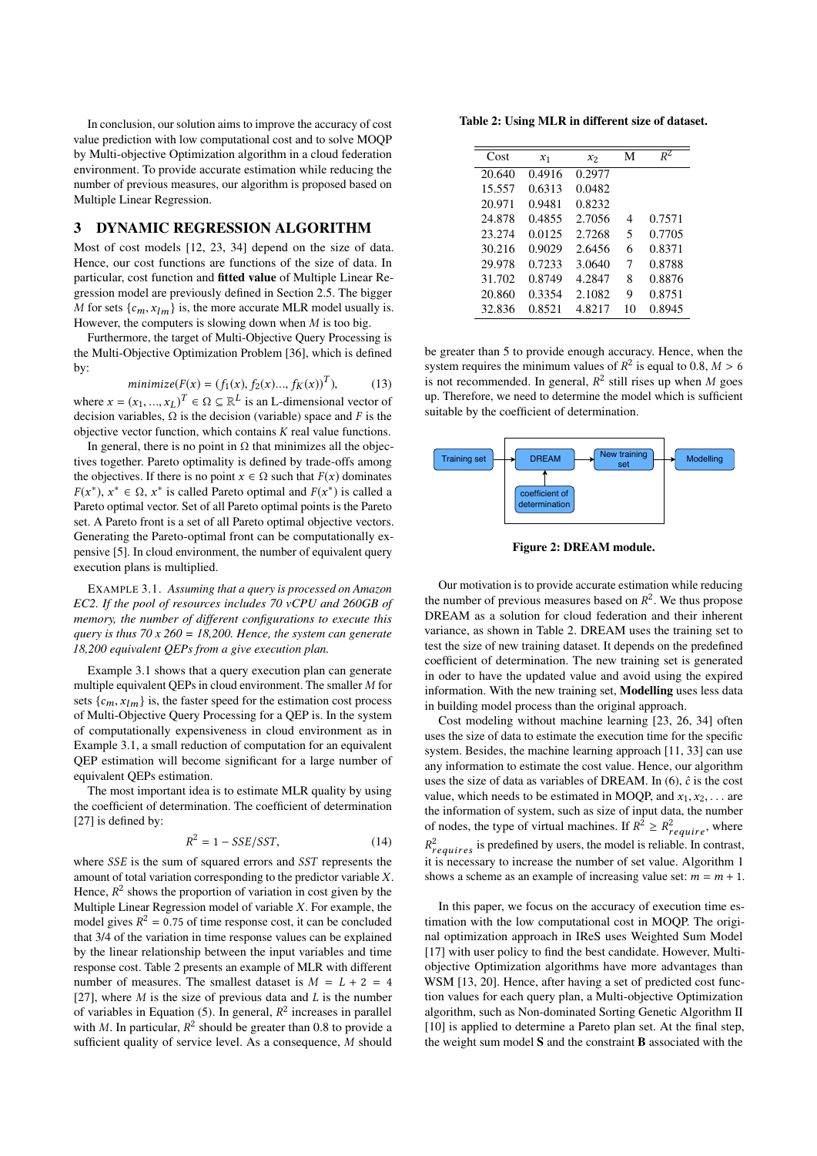In conclusion, our solution aims to improve the accuracy of cost value prediction with low computational cost and to solve MOQP by Multi-objective Optimization algorithm in a cloud federation environment. To provide accurate estimation while reducing the number of previous measures, our algorithm is proposed based on Multiple Linear Regression.

# 3 DYNAMIC REGRESSION ALGORITHM

Most of cost models [\[12,](#page-5-24) [23,](#page-5-25) [34\]](#page-5-26) depend on the size of data. Hence, our cost functions are functions of the size of data. In particular, cost function and fitted value of Multiple Linear Regression model are previously defined in Section [2.5.](#page-2-1) The bigger M for sets  $\{c_m, x_{lm}\}$  is, the more accurate MLR model usually is. However, the computers is slowing down when  $M$  is too big.

Furthermore, the target of Multi-Objective Query Processing is the Multi-Objective Optimization Problem [\[36\]](#page-5-16), which is defined by:

minimize 
$$
(F(x) = (f_1(x), f_2(x), ..., f_K(x))^T)
$$
, (13)

where  $x = (x_1, ..., x_L)^T \in \Omega \subseteq \mathbb{R}^L$  is an L-dimensional vector of decision variables. O is the decision (variable) space and E is the decision variables,  $\Omega$  is the decision (variable) space and F is the objective vector function, which contains  $K$  real value functions.

In general, there is no point in  $\Omega$  that minimizes all the objectives together. Pareto optimality is defined by trade-offs among the objectives. If there is no point  $x \in \Omega$  such that  $F(x)$  dominates  $F(x^*)$ ,  $x^* \in \Omega$ ,  $x^*$  is called Pareto optimal and  $F(x^*)$  is called a<br>Pareto optimal vector. Set of all Pareto optimal points is the Pareto Pareto optimal vector. Set of all Pareto optimal points is the Pareto set. A Pareto front is a set of all Pareto optimal objective vectors. Generating the Pareto-optimal front can be computationally expensive [\[5\]](#page-5-27). In cloud environment, the number of equivalent query execution plans is multiplied.

<span id="page-3-0"></span>EXAMPLE 3.1. *Assuming that a query is processed on Amazon EC2. If the pool of resources includes 70 vCPU and 260GB of memory, the number of different configurations to execute this query is thus 70 x 260 = 18,200. Hence, the system can generate 18,200 equivalent QEPs from a give execution plan.*

Example [3.1](#page-3-0) shows that a query execution plan can generate multiple equivalent QEPs in cloud environment. The smaller M for sets  $\{c_m, x_{lm}\}\$ is, the faster speed for the estimation cost process of Multi-Objective Query Processing for a QEP is. In the system of computationally expensiveness in cloud environment as in Example [3.1,](#page-3-0) a small reduction of computation for an equivalent QEP estimation will become significant for a large number of equivalent QEPs estimation.

The most important idea is to estimate MLR quality by using the coefficient of determination. The coefficient of determination [\[27\]](#page-5-18) is defined by:

$$
R^2 = 1 - SSE/SST,\t(14)
$$

where  $SSE$  is the sum of squared errors and  $SST$  represents the amount of total variation corresponding to the predictor variable  $Y$ amount of total variation corresponding to the predictor variable X. Hence,  $R^2$  shows the proportion of variation in cost given by the Multiple Linear Regression model of variable Y. For example, the Multiple Linear Regression model of variable  $X$ . For example, the model gives  $R^2 = 0.75$  of time response cost, it can be concluded<br>that 3/4 of the variation in time response values can be explained that 3/4 of the variation in time response values can be explained by the linear relationship between the input variables and time response cost. Table [2](#page-3-1) presents an example of MLR with different number of measures. The smallest dataset is  $M = L + 2 = 4$ [\[27\]](#page-5-18), where  $M$  is the size of previous data and  $L$  is the number of variables in Equation [\(5\)](#page-2-2). In general,  $R^2$  increases in parallel<br>with M. In particular,  $R^2$  should be greater than 0.8 to provide a with M. In particular,  $R^2$  should be greater than 0.8 to provide a sufficient quality of service level. As a consequence M should sufficient quality of service level. As a consequence, M should

<span id="page-3-1"></span>Table 2: Using MLR in different size of dataset.

| Cost   | $x_1$  | $x_2$  | м  | $R^2$  |
|--------|--------|--------|----|--------|
| 20.640 | 0.4916 | 0.2977 |    |        |
| 15.557 | 0.6313 | 0.0482 |    |        |
| 20.971 | 0.9481 | 0.8232 |    |        |
| 24.878 | 0.4855 | 2.7056 | 4  | 0.7571 |
| 23.274 | 0.0125 | 2.7268 | 5  | 0.7705 |
| 30.216 | 0.9029 | 2.6456 | 6  | 0.8371 |
| 29.978 | 0.7233 | 3.0640 | 7  | 0.8788 |
| 31.702 | 0.8749 | 4.2847 | 8  | 0.8876 |
| 20.860 | 0.3354 | 2.1082 | 9  | 0.8751 |
| 32.836 | 0.8521 | 4.8217 | 10 | 0.8945 |

be greater than 5 to provide enough accuracy. Hence, when the system requires the minimum values of  $R^2$  is equal to 0.8,  $M > 6$ <br>is not recommended. In general,  $R^2$  still rises up when M goes is not recommended. In general,  $R^2$  still rises up when M goes<br>up Therefore, we need to determine the model which is sufficient up. Therefore, we need to determine the model which is sufficient suitable by the coefficient of determination.

<span id="page-3-2"></span>

Figure 2: DREAM module.

Our motivation is to provide accurate estimation while reducing the number of previous measures based on  $R^2$ . We thus propose<br>DREAM as a solution for cloud federation and their inherent DREAM as a solution for cloud federation and their inherent variance, as shown in Table [2.](#page-3-2) DREAM uses the training set to test the size of new training dataset. It depends on the predefined coefficient of determination. The new training set is generated in oder to have the updated value and avoid using the expired information. With the new training set, Modelling uses less data in building model process than the original approach.

Cost modeling without machine learning [\[23,](#page-5-25) [26,](#page-5-28) [34\]](#page-5-26) often uses the size of data to estimate the execution time for the specific system. Besides, the machine learning approach [\[11,](#page-5-5) [33\]](#page-5-8) can use any information to estimate the cost value. Hence, our algorithm uses the size of data as variables of DREAM. In  $(6)$ ,  $\hat{c}$  is the cost value, which needs to be estimated in MOQP, and  $x_1, x_2, \ldots$  are the information of system, such as size of input data, the number of nodes, the type of virtual machines. If  $R^2 \ge R_{require}^2$ , where Exequires to present the gravity and increase the number of set value. Algorithm [1](#page-4-0)  $r_{requires}$  is predefined by users, the model is reliable. In contrast, shows a scheme as an example of increasing value set:  $m = m + 1$ .

In this paper, we focus on the accuracy of execution time estimation with the low computational cost in MOQP. The original optimization approach in IReS uses Weighted Sum Model [\[17\]](#page-5-21) with user policy to find the best candidate. However, Multiobjective Optimization algorithms have more advantages than WSM [\[13,](#page-5-22) [20\]](#page-5-23). Hence, after having a set of predicted cost function values for each query plan, a Multi-objective Optimization algorithm, such as Non-dominated Sorting Genetic Algorithm II [\[10\]](#page-5-11) is applied to determine a Pareto plan set. At the final step, the weight sum model S and the constraint B associated with the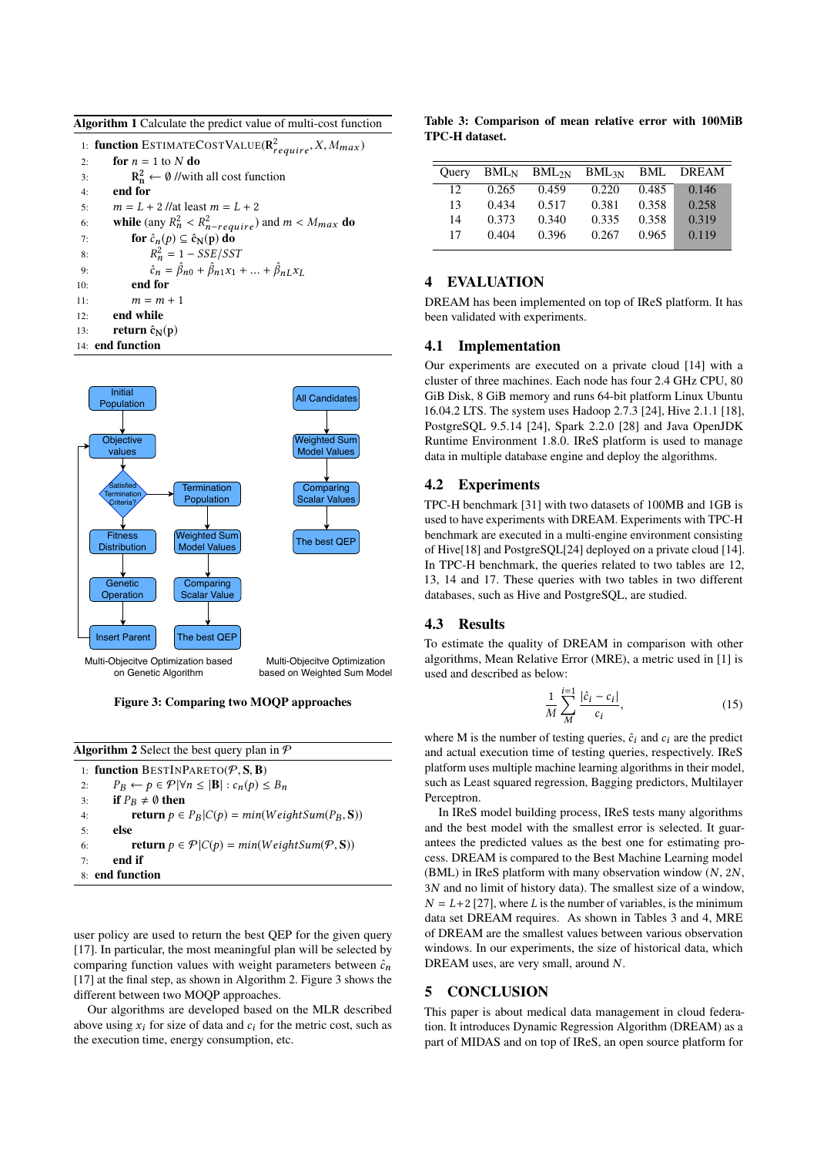<span id="page-4-0"></span>Algorithm 1 Calculate the predict value of multi-cost function

|     | 1: function ESTIMATECOSTVALUE( $\mathbf{R}_{require}^2$ , X, $M_{max}$ )      |
|-----|-------------------------------------------------------------------------------|
| 2:  | for $n = 1$ to N do                                                           |
| 3:  | $R_n^2 \leftarrow \emptyset$ //with all cost function                         |
| 4:  | end for                                                                       |
| 5:  | $m = L + 2$ //at least $m = L + 2$                                            |
| 6:  | <b>while</b> (any $R_n^2 < R_{n-require}^2$ ) and $m < M_{max}$ do            |
| 7:  | for $\hat{c}_n(p) \subseteq \hat{c}_N(p)$ do                                  |
| 8:  | $R_n^2 = 1 - SSE/ SST$                                                        |
| 9:  | $\hat{c}_n = \hat{\beta}_{n0} + \hat{\beta}_{n1}x_1 +  + \hat{\beta}_{nL}x_L$ |
| 10: | end for                                                                       |
| 11: | $m = m + 1$                                                                   |
| 12: | end while                                                                     |
| 13: | return $\hat{c}_N(p)$                                                         |
|     | 14: end function                                                              |

<span id="page-4-2"></span>

Figure 3: Comparing two MOQP approaches

<span id="page-4-1"></span>

| <b>Algorithm 2</b> Select the best query plan in $\mathcal{P}$                    |  |  |  |  |  |
|-----------------------------------------------------------------------------------|--|--|--|--|--|
| 1: function BESTINPARETO( $P$ , S, B)                                             |  |  |  |  |  |
| $P_B \leftarrow p \in \mathcal{P} \,  \forall n \leq  B  : c_n(p) \leq B_n$<br>2: |  |  |  |  |  |
| if $P_R \neq \emptyset$ then<br>3:                                                |  |  |  |  |  |
| <b>return</b> $p \in P_B   C(p) = min(WeightSum(P_B, S))$<br>4:                   |  |  |  |  |  |
| else<br>5:                                                                        |  |  |  |  |  |
| <b>return</b> $p \in \mathcal{P} C(p) = min(WeightSum(\mathcal{P}, S))$<br>6:     |  |  |  |  |  |
| end if<br>7:                                                                      |  |  |  |  |  |
| 8: end function                                                                   |  |  |  |  |  |
|                                                                                   |  |  |  |  |  |

user policy are used to return the best QEP for the given query [\[17\]](#page-5-21). In particular, the most meaningful plan will be selected by comparing function values with weight parameters between  $\hat{c}_n$ [\[17\]](#page-5-21) at the final step, as shown in Algorithm [2.](#page-4-1) Figure [3](#page-4-2) shows the different between two MOQP approaches.

Our algorithms are developed based on the MLR described above using  $x_i$  for size of data and  $c_i$  for the metric cost, such as the execution time, energy consumption, etc.

<span id="page-4-3"></span>Table 3: Comparison of mean relative error with 100MiB TPC-H dataset.

| Ouery |       | $BML_N$ $BML_{2N}$ $BML_{3N}$ |       | BML   | DREAM |
|-------|-------|-------------------------------|-------|-------|-------|
| 12.   | 0.265 | 0.459                         | 0.220 | 0.485 | 0.146 |
| 13    | 0.434 | 0.517                         | 0.381 | 0.358 | 0.258 |
| 14    | 0.373 | 0.340                         | 0.335 | 0.358 | 0.319 |
| 17    | 0.404 | 0.396                         | 0.267 | 0.965 | 0.119 |
|       |       |                               |       |       |       |

# 4 EVALUATION

DREAM has been implemented on top of IReS platform. It has been validated with experiments.

#### 4.1 Implementation

Our experiments are executed on a private cloud [\[14\]](#page-5-29) with a cluster of three machines. Each node has four 2.4 GHz CPU, 80 GiB Disk, 8 GiB memory and runs 64-bit platform Linux Ubuntu 16.04.2 LTS. The system uses Hadoop 2.7.3 [\[24\]](#page-5-20), Hive 2.1.1 [\[18\]](#page-5-19), PostgreSQL 9.5.14 [\[24\]](#page-5-20), Spark 2.2.0 [\[28\]](#page-5-30) and Java OpenJDK Runtime Environment 1.8.0. IReS platform is used to manage data in multiple database engine and deploy the algorithms.

## 4.2 Experiments

TPC-H benchmark [\[31\]](#page-5-31) with two datasets of 100MB and 1GB is used to have experiments with DREAM. Experiments with TPC-H benchmark are executed in a multi-engine environment consisting of Hive[\[18\]](#page-5-19) and PostgreSQL[\[24\]](#page-5-20) deployed on a private cloud [\[14\]](#page-5-29). In TPC-H benchmark, the queries related to two tables are 12, 13, 14 and 17. These queries with two tables in two different databases, such as Hive and PostgreSQL, are studied.

## 4.3 Results

To estimate the quality of DREAM in comparison with other algorithms, Mean Relative Error (MRE), a metric used in [\[1\]](#page-5-32) is used and described as below:

$$
\frac{1}{M} \sum_{M}^{i=1} \frac{|\hat{c}_i - c_i|}{c_i},\tag{15}
$$

where M is the number of testing queries,  $\hat{c}_i$  and  $c_i$  are the predict and actual execution time of testing queries, respectively. IReS platform uses multiple machine learning algorithms in their model, such as Least squared regression, Bagging predictors, Multilayer Perceptron.

In IReS model building process, IReS tests many algorithms and the best model with the smallest error is selected. It guarantees the predicted values as the best one for estimating process. DREAM is compared to the Best Machine Learning model (BML) in IReS platform with many observation window (N, <sup>2</sup>N, <sup>3</sup>N and no limit of history data). The smallest size of a window,  $N = L+2$  [\[27\]](#page-5-18), where L is the number of variables, is the minimum data set DREAM requires. As shown in Tables [3](#page-4-3) and [4,](#page-5-33) MRE of DREAM are the smallest values between various observation windows. In our experiments, the size of historical data, which DREAM uses, are very small, around N.

#### 5 CONCLUSION

This paper is about medical data management in cloud federation. It introduces Dynamic Regression Algorithm (DREAM) as a part of MIDAS and on top of IReS, an open source platform for